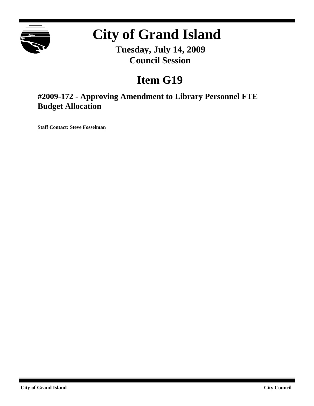

# **City of Grand Island**

**Tuesday, July 14, 2009 Council Session**

# **Item G19**

**#2009-172 - Approving Amendment to Library Personnel FTE Budget Allocation**

**Staff Contact: Steve Fosselman**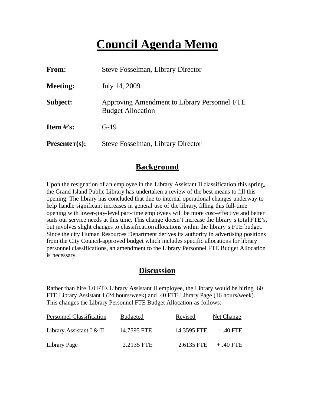# **Council Agenda Memo**

| From:           | <b>Steve Fosselman, Library Director</b>                                 |  |
|-----------------|--------------------------------------------------------------------------|--|
| <b>Meeting:</b> | July 14, 2009                                                            |  |
| Subject:        | Approving Amendment to Library Personnel FTE<br><b>Budget Allocation</b> |  |
| Item $\#$ 's:   | $G-19$                                                                   |  |
| $Presenter(s):$ | Steve Fosselman, Library Director                                        |  |

#### **Background**

Upon the resignation of an employee in the Library Assistant II classification this spring, the Grand Island Public Library has undertaken a review of the best means to fill this opening. The library has concluded that due to internal operational changes underway to help handle significant increases in general use of the library, filling this full-time opening with lower-pay-level part-time employees will be more cost-effective and better suits our service needs at this time. This change doesn't increase the library's total FTE's, but involves slight changes to classification allocations within the library's FTE budget. Since the city Human Resources Department derives its authority in advertising positions from the City Council-approved budget which includes specific allocations for library personnel classifications, an amendment to the Library Personnel FTE Budget Allocation is necessary.

#### **Discussion**

Rather than hire 1.0 FTE Library Assistant II employee, the Library would be hiring .60 FTE Library Assistant I (24 hours/week) and .40 FTE Library Page (16 hours/week). This changes the Library Personnel FTE Budget Allocation as follows:

| <b>Personnel Classification</b> | Budgeted    | Revised     | Net Change  |
|---------------------------------|-------------|-------------|-------------|
| Library Assistant I & $II$      | 14.7595 FTE | 14.3595 FTE | - .40 FTE   |
| Library Page                    | 2.2135 FTE  | 2.6135 FTE  | $+ .40$ FTE |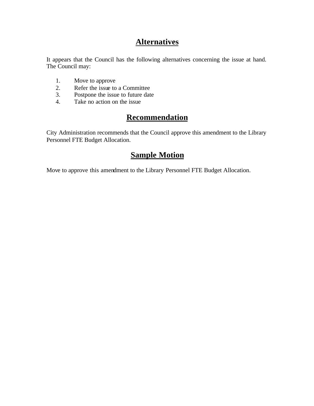## **Alternatives**

It appears that the Council has the following alternatives concerning the issue at hand. The Council may:

- 1. Move to approve
- 2. Refer the issue to a Committee<br>3. Postpone the issue to future date
- Postpone the issue to future date
- 4. Take no action on the issue

## **Recommendation**

City Administration recommends that the Council approve this amendment to the Library Personnel FTE Budget Allocation.

### **Sample Motion**

Move to approve this amendment to the Library Personnel FTE Budget Allocation.